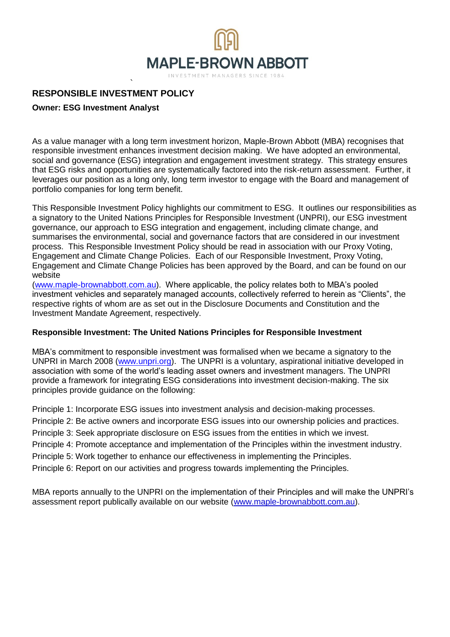

# ` **RESPONSIBLE INVESTMENT POLICY**

# **Owner: ESG Investment Analyst**

As a value manager with a long term investment horizon, Maple-Brown Abbott (MBA) recognises that responsible investment enhances investment decision making. We have adopted an environmental, social and governance (ESG) integration and engagement investment strategy. This strategy ensures that ESG risks and opportunities are systematically factored into the risk-return assessment. Further, it leverages our position as a long only, long term investor to engage with the Board and management of portfolio companies for long term benefit.

This Responsible Investment Policy highlights our commitment to ESG. It outlines our responsibilities as a signatory to the United Nations Principles for Responsible Investment (UNPRI), our ESG investment governance, our approach to ESG integration and engagement, including climate change, and summarises the environmental, social and governance factors that are considered in our investment process. This Responsible Investment Policy should be read in association with our Proxy Voting, Engagement and Climate Change Policies. Each of our Responsible Investment, Proxy Voting, Engagement and Climate Change Policies has been approved by the Board, and can be found on our website

[\(www.maple-brownabbott.com.au\)](http://www.maple-brownabbott.com.au/). Where applicable, the policy relates both to MBA's pooled investment vehicles and separately managed accounts, collectively referred to herein as "Clients", the respective rights of whom are as set out in the Disclosure Documents and Constitution and the Investment Mandate Agreement, respectively.

## **Responsible Investment: The United Nations Principles for Responsible Investment**

MBA's commitment to responsible investment was formalised when we became a signatory to the UNPRI in March 2008 [\(www.unpri.org\).](http://www.unpri.org/) The UNPRI is a voluntary, aspirational initiative developed in association with some of the world's leading asset owners and investment managers. The UNPRI provide a framework for integrating ESG considerations into investment decision-making. The six principles provide guidance on the following:

Principle 1: Incorporate ESG issues into investment analysis and decision-making processes.

Principle 2: Be active owners and incorporate ESG issues into our ownership policies and practices.

Principle 3: Seek appropriate disclosure on ESG issues from the entities in which we invest.

Principle 4: Promote acceptance and implementation of the Principles within the investment industry.

Principle 5: Work together to enhance our effectiveness in implementing the Principles.

Principle 6: Report on our activities and progress towards implementing the Principles.

MBA reports annually to the UNPRI on the implementation of their Principles and will make the UNPRI's assessment report publically available on our website (www.maple-brownabbott.com.au).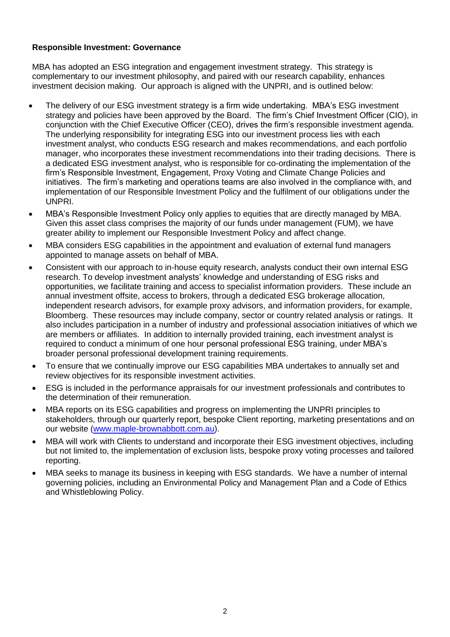## **Responsible Investment: Governance**

MBA has adopted an ESG integration and engagement investment strategy. This strategy is complementary to our investment philosophy, and paired with our research capability, enhances investment decision making. Our approach is aligned with the UNPRI, and is outlined below:

- The delivery of our ESG investment strategy is a firm wide undertaking. MBA's ESG investment strategy and policies have been approved by the Board. The firm's Chief Investment Officer (CIO), in conjunction with the Chief Executive Officer (CEO), drives the firm's responsible investment agenda. The underlying responsibility for integrating ESG into our investment process lies with each investment analyst, who conducts ESG research and makes recommendations, and each portfolio manager, who incorporates these investment recommendations into their trading decisions. There is a dedicated ESG investment analyst, who is responsible for co-ordinating the implementation of the firm's Responsible Investment, Engagement, Proxy Voting and Climate Change Policies and initiatives. The firm's marketing and operations teams are also involved in the compliance with, and implementation of our Responsible Investment Policy and the fulfilment of our obligations under the UNPRI.
- MBA's Responsible Investment Policy only applies to equities that are directly managed by MBA. Given this asset class comprises the majority of our funds under management (FUM), we have greater ability to implement our Responsible Investment Policy and affect change.
- MBA considers ESG capabilities in the appointment and evaluation of external fund managers appointed to manage assets on behalf of MBA.
- Consistent with our approach to in-house equity research, analysts conduct their own internal ESG research. To develop investment analysts' knowledge and understanding of ESG risks and opportunities, we facilitate training and access to specialist information providers. These include an annual investment offsite, access to brokers, through a dedicated ESG brokerage allocation, independent research advisors, for example proxy advisors, and information providers, for example, Bloomberg. These resources may include company, sector or country related analysis or ratings. It also includes participation in a number of industry and professional association initiatives of which we are members or affiliates. In addition to internally provided training, each investment analyst is required to conduct a minimum of one hour personal professional ESG training, under MBA's broader personal professional development training requirements.
- To ensure that we continually improve our ESG capabilities MBA undertakes to annually set and review objectives for its responsible investment activities.
- ESG is included in the performance appraisals for our investment professionals and contributes to the determination of their remuneration.
- MBA reports on its ESG capabilities and progress on implementing the UNPRI principles to stakeholders, through our quarterly report, bespoke Client reporting, marketing presentations and on our website [\(www.maple-brownabbott.com.au\)](http://www.maple-brownabbott.com.au/).
- MBA will work with Clients to understand and incorporate their ESG investment objectives, including but not limited to, the implementation of exclusion lists, bespoke proxy voting processes and tailored reporting.
- MBA seeks to manage its business in keeping with ESG standards. We have a number of internal governing policies, including an Environmental Policy and Management Plan and a Code of Ethics and Whistleblowing Policy.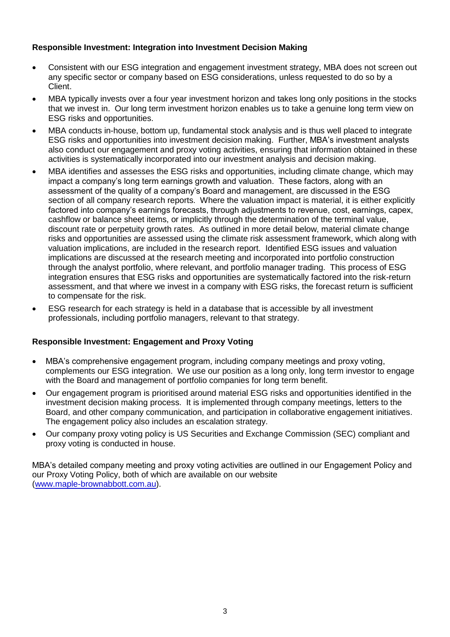# **Responsible Investment: Integration into Investment Decision Making**

- Consistent with our ESG integration and engagement investment strategy, MBA does not screen out any specific sector or company based on ESG considerations, unless requested to do so by a Client.
- MBA typically invests over a four year investment horizon and takes long only positions in the stocks that we invest in. Our long term investment horizon enables us to take a genuine long term view on ESG risks and opportunities.
- MBA conducts in-house, bottom up, fundamental stock analysis and is thus well placed to integrate ESG risks and opportunities into investment decision making. Further, MBA's investment analysts also conduct our engagement and proxy voting activities, ensuring that information obtained in these activities is systematically incorporated into our investment analysis and decision making.
- MBA identifies and assesses the ESG risks and opportunities, including climate change, which may impact a company's long term earnings growth and valuation. These factors, along with an assessment of the quality of a company's Board and management, are discussed in the ESG section of all company research reports. Where the valuation impact is material, it is either explicitly factored into company's earnings forecasts, through adjustments to revenue, cost, earnings, capex, cashflow or balance sheet items, or implicitly through the determination of the terminal value, discount rate or perpetuity growth rates. As outlined in more detail below, material climate change risks and opportunities are assessed using the climate risk assessment framework, which along with valuation implications, are included in the research report. Identified ESG issues and valuation implications are discussed at the research meeting and incorporated into portfolio construction through the analyst portfolio, where relevant, and portfolio manager trading. This process of ESG integration ensures that ESG risks and opportunities are systematically factored into the risk-return assessment, and that where we invest in a company with ESG risks, the forecast return is sufficient to compensate for the risk.
- ESG research for each strategy is held in a database that is accessible by all investment professionals, including portfolio managers, relevant to that strategy.

## **Responsible Investment: Engagement and Proxy Voting**

- MBA's comprehensive engagement program, including company meetings and proxy voting, complements our ESG integration. We use our position as a long only, long term investor to engage with the Board and management of portfolio companies for long term benefit.
- Our engagement program is prioritised around material ESG risks and opportunities identified in the investment decision making process. It is implemented through company meetings, letters to the Board, and other company communication, and participation in collaborative engagement initiatives. The engagement policy also includes an escalation strategy.
- Our company proxy voting policy is US Securities and Exchange Commission (SEC) compliant and proxy voting is conducted in house.

MBA's detailed company meeting and proxy voting activities are outlined in our Engagement Policy and our Proxy Voting Policy, both of which are available on our website (www.maple-brownabbott.com.au).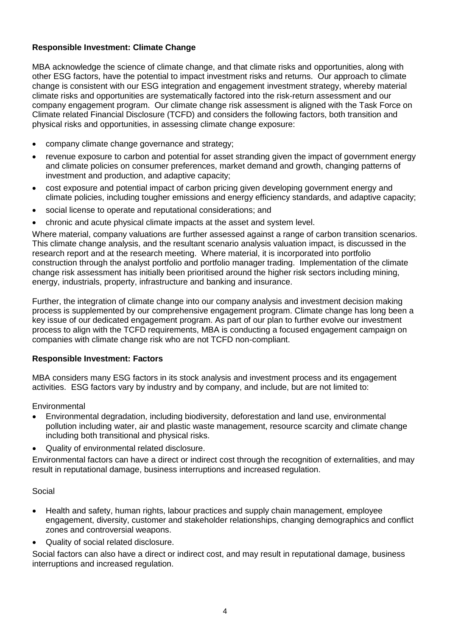# **Responsible Investment: Climate Change**

MBA acknowledge the science of climate change, and that climate risks and opportunities, along with other ESG factors, have the potential to impact investment risks and returns. Our approach to climate change is consistent with our ESG integration and engagement investment strategy, whereby material climate risks and opportunities are systematically factored into the risk-return assessment and our company engagement program. Our climate change risk assessment is aligned with the Task Force on Climate related Financial Disclosure (TCFD) and considers the following factors, both transition and physical risks and opportunities, in assessing climate change exposure:

- company climate change governance and strategy;
- revenue exposure to carbon and potential for asset stranding given the impact of government energy and climate policies on consumer preferences, market demand and growth, changing patterns of investment and production, and adaptive capacity;
- cost exposure and potential impact of carbon pricing given developing government energy and climate policies, including tougher emissions and energy efficiency standards, and adaptive capacity;
- social license to operate and reputational considerations; and
- chronic and acute physical climate impacts at the asset and system level.

Where material, company valuations are further assessed against a range of carbon transition scenarios. This climate change analysis, and the resultant scenario analysis valuation impact, is discussed in the research report and at the research meeting. Where material, it is incorporated into portfolio construction through the analyst portfolio and portfolio manager trading. Implementation of the climate change risk assessment has initially been prioritised around the higher risk sectors including mining, energy, industrials, property, infrastructure and banking and insurance.

Further, the integration of climate change into our company analysis and investment decision making process is supplemented by our comprehensive engagement program. Climate change has long been a key issue of our dedicated engagement program. As part of our plan to further evolve our investment process to align with the TCFD requirements, MBA is conducting a focused engagement campaign on companies with climate change risk who are not TCFD non-compliant.

## **Responsible Investment: Factors**

MBA considers many ESG factors in its stock analysis and investment process and its engagement activities. ESG factors vary by industry and by company, and include, but are not limited to:

**Environmental** 

- Environmental degradation, including biodiversity, deforestation and land use, environmental pollution including water, air and plastic waste management, resource scarcity and climate change including both transitional and physical risks.
- Quality of environmental related disclosure.

Environmental factors can have a direct or indirect cost through the recognition of externalities, and may result in reputational damage, business interruptions and increased regulation.

## Social

- Health and safety, human rights, labour practices and supply chain management, employee engagement, diversity, customer and stakeholder relationships, changing demographics and conflict zones and controversial weapons.
- Quality of social related disclosure.

Social factors can also have a direct or indirect cost, and may result in reputational damage, business interruptions and increased regulation.